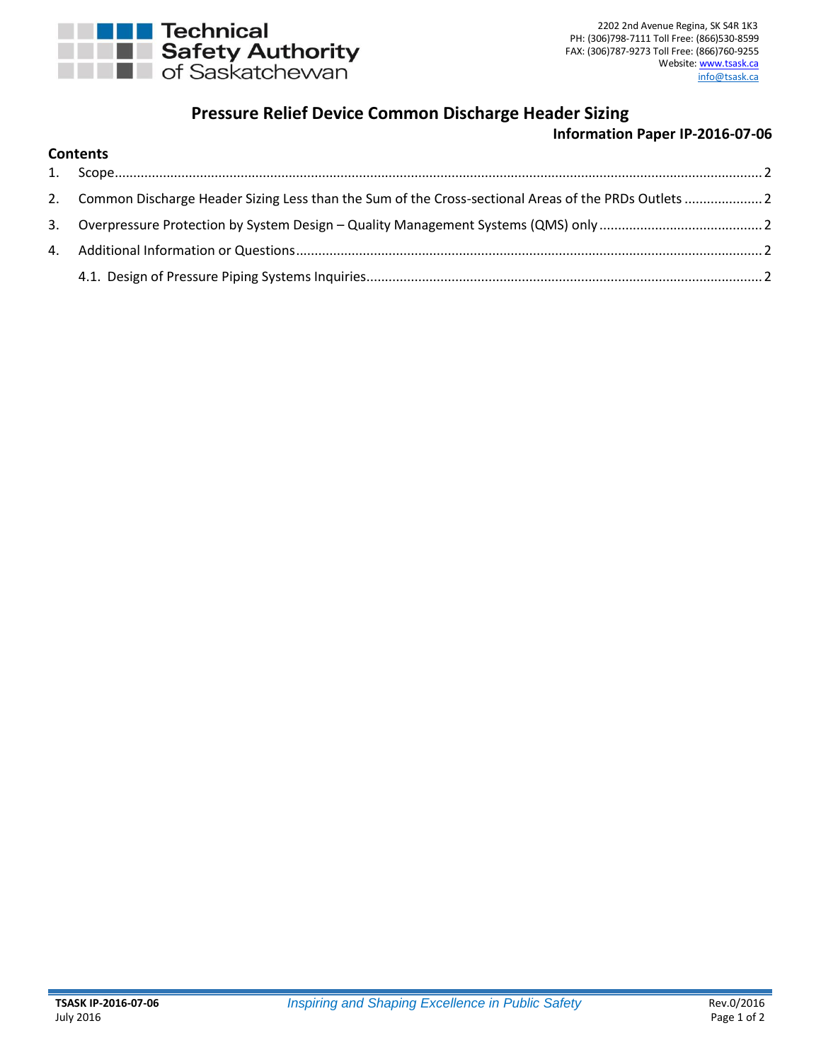

# **Pressure Relief Device Common Discharge Header Sizing**

## **Information Paper IP-2016-07-06**

| <b>Contents</b> |
|-----------------|
|-----------------|

| 2. Common Discharge Header Sizing Less than the Sum of the Cross-sectional Areas of the PRDs Outlets  2 |  |
|---------------------------------------------------------------------------------------------------------|--|
|                                                                                                         |  |
|                                                                                                         |  |
|                                                                                                         |  |